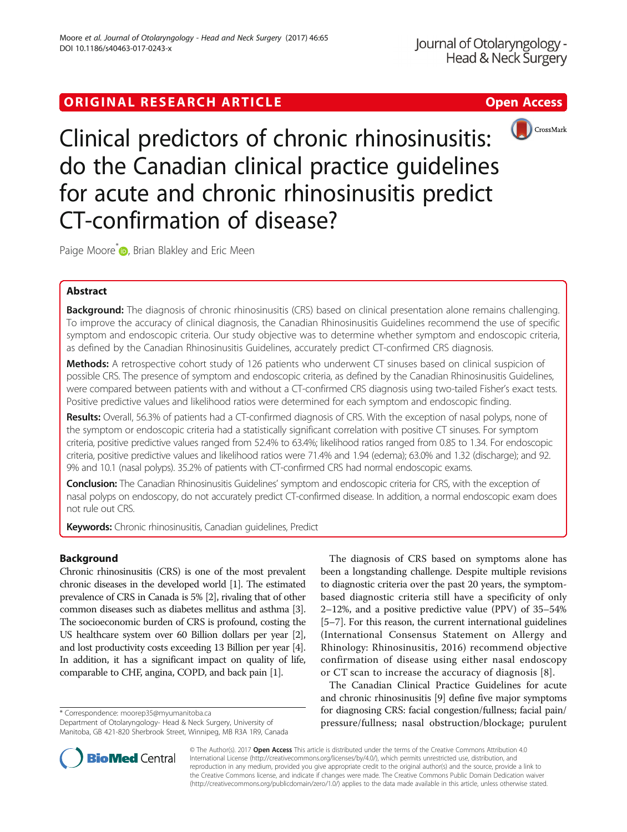# ORIGINAL RESEARCH ARTICLE **External of the Contract Contract Contract Contract Contract Contract Contract Contract Contract Contract Contract Contract Contract Contract Contract Contract Contract Contract Contract Contract**



Clinical predictors of chronic rhinosinusitis: do the Canadian clinical practice guidelines for acute and chronic rhinosinusitis predict CT-confirmation of disease?

Paige Moore<sup>\*</sup> **D**[,](http://orcid.org/0000-0002-3076-4728) Brian Blakley and Eric Meen

# Abstract

Background: The diagnosis of chronic rhinosinusitis (CRS) based on clinical presentation alone remains challenging. To improve the accuracy of clinical diagnosis, the Canadian Rhinosinusitis Guidelines recommend the use of specific symptom and endoscopic criteria. Our study objective was to determine whether symptom and endoscopic criteria, as defined by the Canadian Rhinosinusitis Guidelines, accurately predict CT-confirmed CRS diagnosis.

Methods: A retrospective cohort study of 126 patients who underwent CT sinuses based on clinical suspicion of possible CRS. The presence of symptom and endoscopic criteria, as defined by the Canadian Rhinosinusitis Guidelines, were compared between patients with and without a CT-confirmed CRS diagnosis using two-tailed Fisher's exact tests. Positive predictive values and likelihood ratios were determined for each symptom and endoscopic finding.

Results: Overall, 56.3% of patients had a CT-confirmed diagnosis of CRS. With the exception of nasal polyps, none of the symptom or endoscopic criteria had a statistically significant correlation with positive CT sinuses. For symptom criteria, positive predictive values ranged from 52.4% to 63.4%; likelihood ratios ranged from 0.85 to 1.34. For endoscopic criteria, positive predictive values and likelihood ratios were 71.4% and 1.94 (edema); 63.0% and 1.32 (discharge); and 92. 9% and 10.1 (nasal polyps). 35.2% of patients with CT-confirmed CRS had normal endoscopic exams.

**Conclusion:** The Canadian Rhinosinusitis Guidelines' symptom and endoscopic criteria for CRS, with the exception of nasal polyps on endoscopy, do not accurately predict CT-confirmed disease. In addition, a normal endoscopic exam does not rule out CRS.

Keywords: Chronic rhinosinusitis, Canadian guidelines, Predict

# Background

Chronic rhinosinusitis (CRS) is one of the most prevalent chronic diseases in the developed world [\[1\]](#page-3-0). The estimated prevalence of CRS in Canada is 5% [\[2\]](#page-3-0), rivaling that of other common diseases such as diabetes mellitus and asthma [[3](#page-3-0)]. The socioeconomic burden of CRS is profound, costing the US healthcare system over 60 Billion dollars per year [[2](#page-3-0)], and lost productivity costs exceeding 13 Billion per year [[4](#page-3-0)]. In addition, it has a significant impact on quality of life, comparable to CHF, angina, COPD, and back pain [\[1](#page-3-0)].

\* Correspondence: [moorep35@myumanitoba.ca](mailto:moorep35@myumanitoba.ca)

Department of Otolaryngology- Head & Neck Surgery, University of Manitoba, GB 421-820 Sherbrook Street, Winnipeg, MB R3A 1R9, Canada



The Canadian Clinical Practice Guidelines for acute and chronic rhinosinusitis [[9](#page-3-0)] define five major symptoms for diagnosing CRS: facial congestion/fullness; facial pain/ pressure/fullness; nasal obstruction/blockage; purulent



© The Author(s). 2017 **Open Access** This article is distributed under the terms of the Creative Commons Attribution 4.0 International License [\(http://creativecommons.org/licenses/by/4.0/](http://creativecommons.org/licenses/by/4.0/)), which permits unrestricted use, distribution, and reproduction in any medium, provided you give appropriate credit to the original author(s) and the source, provide a link to the Creative Commons license, and indicate if changes were made. The Creative Commons Public Domain Dedication waiver [\(http://creativecommons.org/publicdomain/zero/1.0/](http://creativecommons.org/publicdomain/zero/1.0/)) applies to the data made available in this article, unless otherwise stated.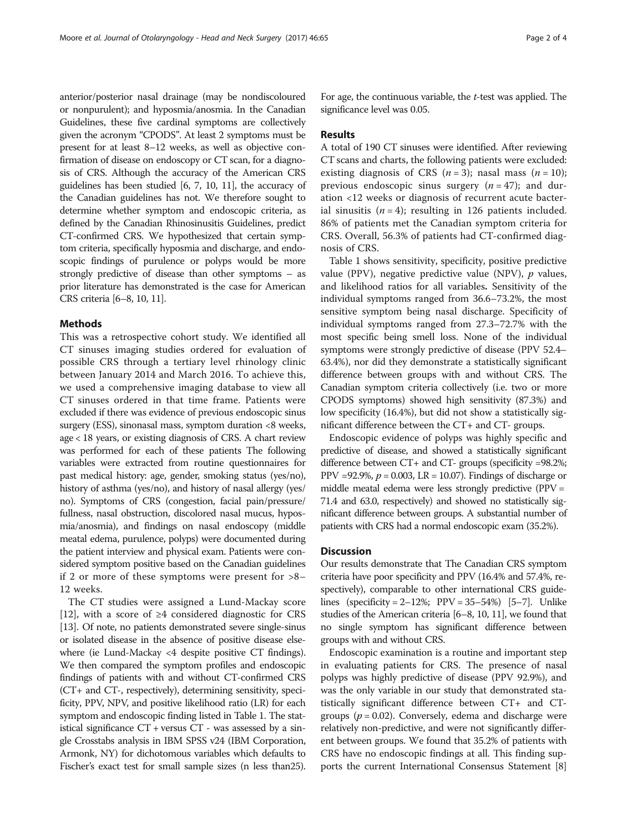anterior/posterior nasal drainage (may be nondiscoloured or nonpurulent); and hyposmia/anosmia. In the Canadian Guidelines, these five cardinal symptoms are collectively given the acronym "CPODS". At least 2 symptoms must be present for at least 8–12 weeks, as well as objective confirmation of disease on endoscopy or CT scan, for a diagnosis of CRS. Although the accuracy of the American CRS guidelines has been studied [\[6, 7](#page-3-0), [10, 11](#page-3-0)], the accuracy of the Canadian guidelines has not. We therefore sought to determine whether symptom and endoscopic criteria, as defined by the Canadian Rhinosinusitis Guidelines, predict CT-confirmed CRS. We hypothesized that certain symptom criteria, specifically hyposmia and discharge, and endoscopic findings of purulence or polyps would be more strongly predictive of disease than other symptoms – as prior literature has demonstrated is the case for American CRS criteria [[6](#page-3-0)–[8, 10, 11\]](#page-3-0).

### Methods

This was a retrospective cohort study. We identified all CT sinuses imaging studies ordered for evaluation of possible CRS through a tertiary level rhinology clinic between January 2014 and March 2016. To achieve this, we used a comprehensive imaging database to view all CT sinuses ordered in that time frame. Patients were excluded if there was evidence of previous endoscopic sinus surgery (ESS), sinonasal mass, symptom duration <8 weeks, age < 18 years, or existing diagnosis of CRS. A chart review was performed for each of these patients The following variables were extracted from routine questionnaires for past medical history: age, gender, smoking status (yes/no), history of asthma (yes/no), and history of nasal allergy (yes/ no). Symptoms of CRS (congestion, facial pain/pressure/ fullness, nasal obstruction, discolored nasal mucus, hyposmia/anosmia), and findings on nasal endoscopy (middle meatal edema, purulence, polyps) were documented during the patient interview and physical exam. Patients were considered symptom positive based on the Canadian guidelines if 2 or more of these symptoms were present for >8– 12 weeks.

The CT studies were assigned a Lund-Mackay score [[12\]](#page-3-0), with a score of  $\geq 4$  considered diagnostic for CRS [[13\]](#page-3-0). Of note, no patients demonstrated severe single-sinus or isolated disease in the absence of positive disease elsewhere (ie Lund-Mackay <4 despite positive CT findings). We then compared the symptom profiles and endoscopic findings of patients with and without CT-confirmed CRS (CT+ and CT-, respectively), determining sensitivity, specificity, PPV, NPV, and positive likelihood ratio (LR) for each symptom and endoscopic finding listed in Table [1.](#page-2-0) The statistical significance  $CT$  + versus  $CT$  - was assessed by a single Crosstabs analysis in IBM SPSS v24 (IBM Corporation, Armonk, NY) for dichotomous variables which defaults to Fischer's exact test for small sample sizes (n less than25).

For age, the continuous variable, the t-test was applied. The significance level was 0.05.

#### Results

A total of 190 CT sinuses were identified. After reviewing CT scans and charts, the following patients were excluded: existing diagnosis of CRS  $(n = 3)$ ; nasal mass  $(n = 10)$ ; previous endoscopic sinus surgery  $(n = 47)$ ; and duration <12 weeks or diagnosis of recurrent acute bacterial sinusitis  $(n = 4)$ ; resulting in 126 patients included. 86% of patients met the Canadian symptom criteria for CRS. Overall, 56.3% of patients had CT-confirmed diagnosis of CRS.

Table [1](#page-2-0) shows sensitivity, specificity, positive predictive value (PPV), negative predictive value (NPV),  $p$  values, and likelihood ratios for all variables. Sensitivity of the individual symptoms ranged from 36.6–73.2%, the most sensitive symptom being nasal discharge. Specificity of individual symptoms ranged from 27.3–72.7% with the most specific being smell loss. None of the individual symptoms were strongly predictive of disease (PPV 52.4– 63.4%), nor did they demonstrate a statistically significant difference between groups with and without CRS. The Canadian symptom criteria collectively (i.e. two or more CPODS symptoms) showed high sensitivity (87.3%) and low specificity (16.4%), but did not show a statistically significant difference between the CT+ and CT- groups.

Endoscopic evidence of polyps was highly specific and predictive of disease, and showed a statistically significant difference between CT+ and CT- groups (specificity =98.2%; PPV =92.9%,  $p = 0.003$ , LR = 10.07). Findings of discharge or middle meatal edema were less strongly predictive (PPV = 71.4 and 63.0, respectively) and showed no statistically significant difference between groups. A substantial number of patients with CRS had a normal endoscopic exam (35.2%).

## **Discussion**

Our results demonstrate that The Canadian CRS symptom criteria have poor specificity and PPV (16.4% and 57.4%, respectively), comparable to other international CRS guidelines (specificity =  $2-12\%$ ; PPV =  $35-54\%$  $35-54\%$  $35-54\%$ ) [5-[7\]](#page-3-0). Unlike studies of the American criteria [\[6](#page-3-0)–[8](#page-3-0), [10, 11\]](#page-3-0), we found that no single symptom has significant difference between groups with and without CRS.

Endoscopic examination is a routine and important step in evaluating patients for CRS. The presence of nasal polyps was highly predictive of disease (PPV 92.9%), and was the only variable in our study that demonstrated statistically significant difference between CT+ and CTgroups ( $p = 0.02$ ). Conversely, edema and discharge were relatively non-predictive, and were not significantly different between groups. We found that 35.2% of patients with CRS have no endoscopic findings at all. This finding supports the current International Consensus Statement [[8](#page-3-0)]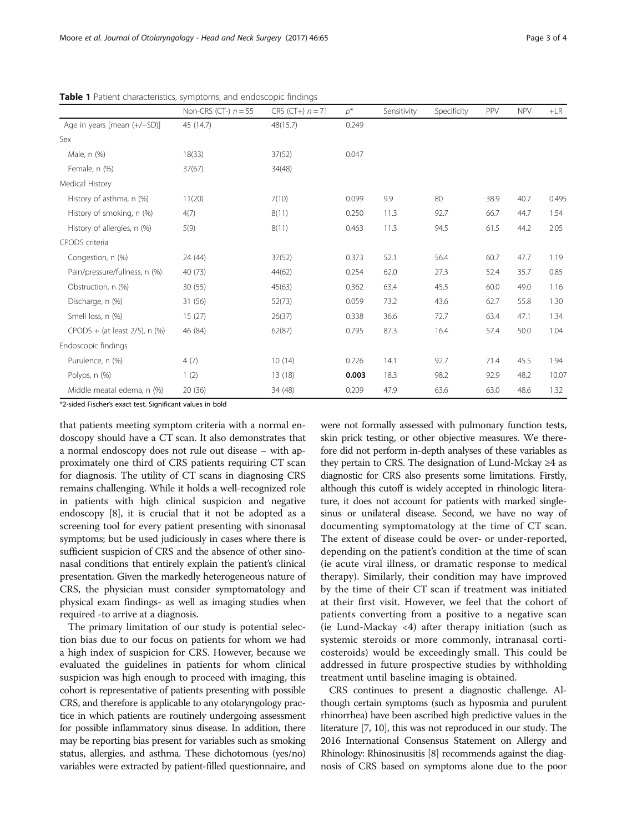| Page 3 of 4 |  |  |  |
|-------------|--|--|--|
|-------------|--|--|--|

|                                     | Non-CRS (CT-) $n = 55$ | CRS (CT+) $n = 71$ | $D^*$ | Sensitivity | Specificity | PPV  | <b>NPV</b> | $+LR$ |
|-------------------------------------|------------------------|--------------------|-------|-------------|-------------|------|------------|-------|
| Age in years [mean (+/-SD)]         | 45 (14.7)              | 48(15.7)           | 0.249 |             |             |      |            |       |
| Sex                                 |                        |                    |       |             |             |      |            |       |
| Male, n (%)                         | 18(33)                 | 37(52)             | 0.047 |             |             |      |            |       |
| Female, n (%)                       | 37(67)                 | 34(48)             |       |             |             |      |            |       |
| Medical History                     |                        |                    |       |             |             |      |            |       |
| History of asthma, n (%)            | 11(20)                 | 7(10)              | 0.099 | 9.9         | 80          | 38.9 | 40.7       | 0.495 |
| History of smoking, n (%)           | 4(7)                   | 8(11)              | 0.250 | 11.3        | 92.7        | 66.7 | 44.7       | 1.54  |
| History of allergies, n (%)         | 5(9)                   | 8(11)              | 0.463 | 11.3        | 94.5        | 61.5 | 44.2       | 2.05  |
| CPODS criteria                      |                        |                    |       |             |             |      |            |       |
| Congestion, n (%)                   | 24 (44)                | 37(52)             | 0.373 | 52.1        | 56.4        | 60.7 | 47.7       | 1.19  |
| Pain/pressure/fullness, n (%)       | 40 (73)                | 44(62)             | 0.254 | 62.0        | 27.3        | 52.4 | 35.7       | 0.85  |
| Obstruction, n (%)                  | 30(55)                 | 45(63)             | 0.362 | 63.4        | 45.5        | 60.0 | 49.0       | 1.16  |
| Discharge, n (%)                    | 31 (56)                | 52(73)             | 0.059 | 73.2        | 43.6        | 62.7 | 55.8       | 1.30  |
| Smell loss, n (%)                   | 15(27)                 | 26(37)             | 0.338 | 36.6        | 72.7        | 63.4 | 47.1       | 1.34  |
| $CPODS + (at least 2/5)$ , n $(\%)$ | 46 (84)                | 62(87)             | 0.795 | 87.3        | 16.4        | 57.4 | 50.0       | 1.04  |
| Endoscopic findings                 |                        |                    |       |             |             |      |            |       |
| Purulence, n (%)                    | 4(7)                   | 10(14)             | 0.226 | 14.1        | 92.7        | 71.4 | 45.5       | 1.94  |
| Polyps, n (%)                       | 1(2)                   | 13(18)             | 0.003 | 18.3        | 98.2        | 92.9 | 48.2       | 10.07 |
| Middle meatal edema, n (%)          | 20(36)                 | 34 (48)            | 0.209 | 47.9        | 63.6        | 63.0 | 48.6       | 1.32  |

<span id="page-2-0"></span>Table 1 Patient characteristics, symptoms, and endoscopic findings

\*2-sided Fischer's exact test. Significant values in bold

that patients meeting symptom criteria with a normal endoscopy should have a CT scan. It also demonstrates that a normal endoscopy does not rule out disease – with approximately one third of CRS patients requiring CT scan for diagnosis. The utility of CT scans in diagnosing CRS remains challenging. While it holds a well-recognized role in patients with high clinical suspicion and negative endoscopy [[8\]](#page-3-0), it is crucial that it not be adopted as a screening tool for every patient presenting with sinonasal symptoms; but be used judiciously in cases where there is sufficient suspicion of CRS and the absence of other sinonasal conditions that entirely explain the patient's clinical presentation. Given the markedly heterogeneous nature of CRS, the physician must consider symptomatology and physical exam findings- as well as imaging studies when required -to arrive at a diagnosis.

The primary limitation of our study is potential selection bias due to our focus on patients for whom we had a high index of suspicion for CRS. However, because we evaluated the guidelines in patients for whom clinical suspicion was high enough to proceed with imaging, this cohort is representative of patients presenting with possible CRS, and therefore is applicable to any otolaryngology practice in which patients are routinely undergoing assessment for possible inflammatory sinus disease. In addition, there may be reporting bias present for variables such as smoking status, allergies, and asthma. These dichotomous (yes/no) variables were extracted by patient-filled questionnaire, and were not formally assessed with pulmonary function tests, skin prick testing, or other objective measures. We therefore did not perform in-depth analyses of these variables as they pertain to CRS. The designation of Lund-Mckay  $\geq 4$  as diagnostic for CRS also presents some limitations. Firstly, although this cutoff is widely accepted in rhinologic literature, it does not account for patients with marked singlesinus or unilateral disease. Second, we have no way of documenting symptomatology at the time of CT scan. The extent of disease could be over- or under-reported, depending on the patient's condition at the time of scan (ie acute viral illness, or dramatic response to medical therapy). Similarly, their condition may have improved by the time of their CT scan if treatment was initiated at their first visit. However, we feel that the cohort of patients converting from a positive to a negative scan (ie Lund-Mackay <4) after therapy initiation (such as systemic steroids or more commonly, intranasal corticosteroids) would be exceedingly small. This could be addressed in future prospective studies by withholding treatment until baseline imaging is obtained.

CRS continues to present a diagnostic challenge. Although certain symptoms (such as hyposmia and purulent rhinorrhea) have been ascribed high predictive values in the literature [\[7, 10\]](#page-3-0), this was not reproduced in our study. The 2016 International Consensus Statement on Allergy and Rhinology: Rhinosinusitis [\[8](#page-3-0)] recommends against the diagnosis of CRS based on symptoms alone due to the poor